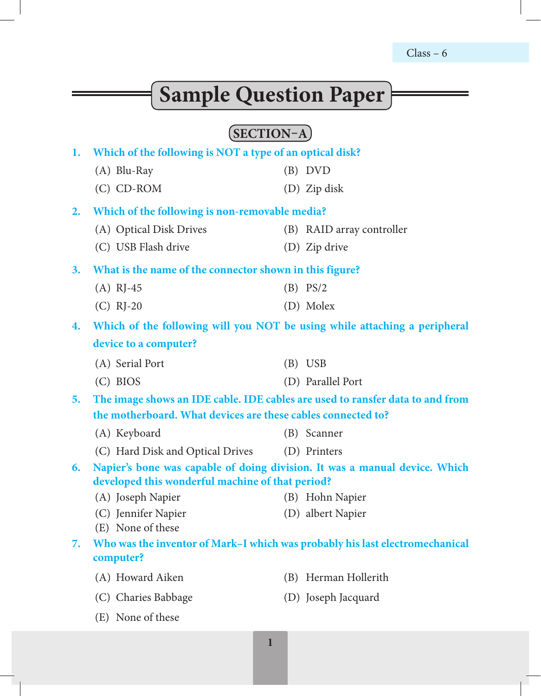# $Class - 6$

۰

# **Sample Question Paper**

# **SECTION–A**

|                                                                                     |                                                              | $\overline{ }$                                                               |  |  |  |  |  |  |  |
|-------------------------------------------------------------------------------------|--------------------------------------------------------------|------------------------------------------------------------------------------|--|--|--|--|--|--|--|
| 1.                                                                                  | Which of the following is NOT a type of an optical disk?     |                                                                              |  |  |  |  |  |  |  |
|                                                                                     | $(A)$ Blu-Ray                                                | $(B)$ DVD                                                                    |  |  |  |  |  |  |  |
|                                                                                     | (C) CD-ROM                                                   | (D) Zip disk                                                                 |  |  |  |  |  |  |  |
| 2.                                                                                  | Which of the following is non-removable media?               |                                                                              |  |  |  |  |  |  |  |
|                                                                                     | (A) Optical Disk Drives                                      | (B) RAID array controller                                                    |  |  |  |  |  |  |  |
|                                                                                     | (C) USB Flash drive                                          | (D) Zip drive                                                                |  |  |  |  |  |  |  |
| 3.                                                                                  | What is the name of the connector shown in this figure?      |                                                                              |  |  |  |  |  |  |  |
|                                                                                     | $(A)$ RJ-45                                                  | $(B)$ PS/2                                                                   |  |  |  |  |  |  |  |
|                                                                                     | $(C)$ RJ-20                                                  | (D) Molex                                                                    |  |  |  |  |  |  |  |
| 4.                                                                                  |                                                              | Which of the following will you NOT be using while attaching a peripheral    |  |  |  |  |  |  |  |
|                                                                                     | device to a computer?                                        |                                                                              |  |  |  |  |  |  |  |
|                                                                                     | (A) Serial Port                                              | $(B)$ USB                                                                    |  |  |  |  |  |  |  |
|                                                                                     | $(C)$ BIOS                                                   | (D) Parallel Port                                                            |  |  |  |  |  |  |  |
| The image shows an IDE cable. IDE cables are used to ransfer data to and from<br>5. |                                                              |                                                                              |  |  |  |  |  |  |  |
|                                                                                     | the motherboard. What devices are these cables connected to? |                                                                              |  |  |  |  |  |  |  |
|                                                                                     | (A) Keyboard                                                 | (B) Scanner                                                                  |  |  |  |  |  |  |  |
|                                                                                     | (C) Hard Disk and Optical Drives                             | (D) Printers                                                                 |  |  |  |  |  |  |  |
| 6.                                                                                  | developed this wonderful machine of that period?             | Napier's bone was capable of doing division. It was a manual device. Which   |  |  |  |  |  |  |  |
|                                                                                     | (A) Joseph Napier                                            | (B) Hohn Napier                                                              |  |  |  |  |  |  |  |
|                                                                                     | (C) Jennifer Napier<br>(E) None of these                     | (D) albert Napier                                                            |  |  |  |  |  |  |  |
| 7.                                                                                  | computer?                                                    | Who was the inventor of Mark-I which was probably his last electromechanical |  |  |  |  |  |  |  |
|                                                                                     | (A) Howard Aiken                                             | (B) Herman Hollerith                                                         |  |  |  |  |  |  |  |
|                                                                                     | (C) Charies Babbage                                          | (D) Joseph Jacquard                                                          |  |  |  |  |  |  |  |
|                                                                                     | (E) None of these                                            |                                                                              |  |  |  |  |  |  |  |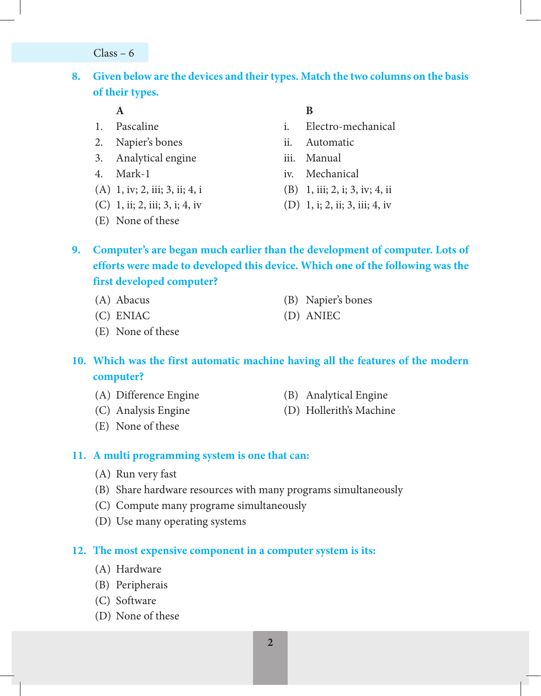$Class - 6$ 

# **8. Given below are the devices and their types. Match the two columns on the basis of their types.**

- 
- 2. Napier's bones ii. Automatic
- 3. Analytical engine iii. Manual
- 
- (A) 1, iv; 2, iii; 3, ii; 4, i (B) 1, iii; 2, i; 3, iv; 4, ii
- (C) 1, ii; 2, iii; 3, i; 4, iv (D) 1, i; 2, ii; 3, iii; 4, iv
- (E) None of these
- **A B**
- 1. Pascaline i. Electro-mechanical
	-
	-
- 4. Mark-1 iv. Mechanical
	-
	-
- **9. Computer's are began much earlier than the development of computer. Lots of efforts were made to developed this device. Which one of the following was the first developed computer?**
	-
	- (A) Abacus (B) Napier's bones
	- (C) ENIAC (D) ANIEC
	- (E) None of these

**10. Which was the first automatic machine having all the features of the modern computer?**

- (A) Difference Engine (B) Analytical Engine
	-
- (C) Analysis Engine (D) Hollerith's Machine
- 

(E) None of these

# **11. A multi programming system is one that can:**

- (A) Run very fast
- (B) Share hardware resources with many programs simultaneously
- (C) Compute many programe simultaneously
- (D) Use many operating systems

# **12. The most expensive component in a computer system is its:**

- (A) Hardware
- (B) Peripherais
- (C) Software
- (D) None of these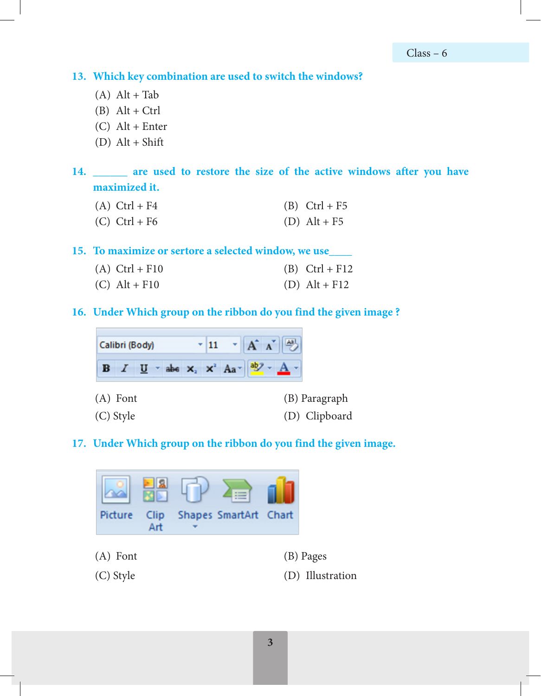**13. Which key combination are used to switch the windows?**

- $(A)$  Alt + Tab
- $(B)$  Alt + Ctrl
- $(C)$  Alt + Enter
- $(D)$  Alt + Shift

**14. \_\_\_\_\_\_ are used to restore the size of the active windows after you have maximized it.**

- (A)  $Ctrl + F4$  (B)  $Ctrl + F5$
- (C)  $Ctrl + F6$  (D)  $Alt + F5$

**15. To maximize or sertore a selected window, we use\_\_\_\_**

| $(A)$ Ctrl + F10 | $(B)$ Ctrl + F12 |
|------------------|------------------|
| $(C)$ Alt + F10  | $(D)$ Alt + F12  |

**16. Under Which group on the ribbon do you find the given image ?**



#### **17. Under Which group on the ribbon do you find the given image.**

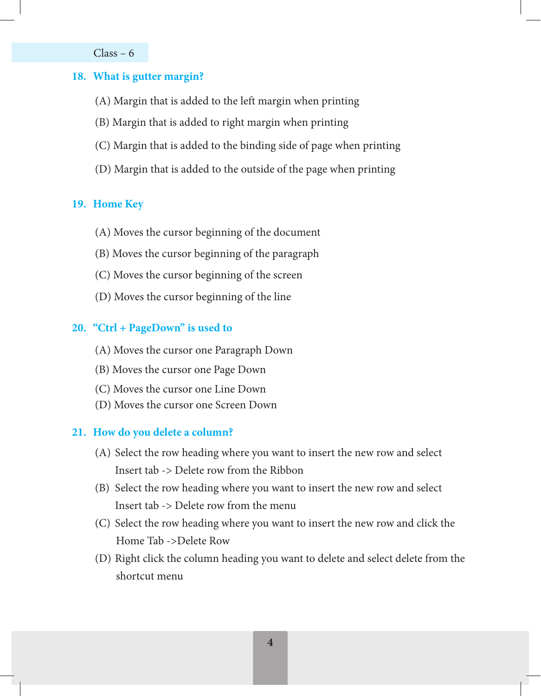Class – 6

#### **18. What is gutter margin?**

- (A) Margin that is added to the left margin when printing
- (B) Margin that is added to right margin when printing
- (C) Margin that is added to the binding side of page when printing
- (D) Margin that is added to the outside of the page when printing

#### **19. Home Key**

- (A) Moves the cursor beginning of the document
- (B) Moves the cursor beginning of the paragraph
- (C) Moves the cursor beginning of the screen
- (D) Moves the cursor beginning of the line

#### **20. "Ctrl + PageDown" is used to**

- (A) Moves the cursor one Paragraph Down
- (B) Moves the cursor one Page Down
- (C) Moves the cursor one Line Down
- (D) Moves the cursor one Screen Down

#### **21. How do you delete a column?**

- (A) Select the row heading where you want to insert the new row and select Insert tab -> Delete row from the Ribbon
- (B) Select the row heading where you want to insert the new row and select Insert tab -> Delete row from the menu
- (C) Select the row heading where you want to insert the new row and click the Home Tab ->Delete Row
- (D) Right click the column heading you want to delete and select delete from the shortcut menu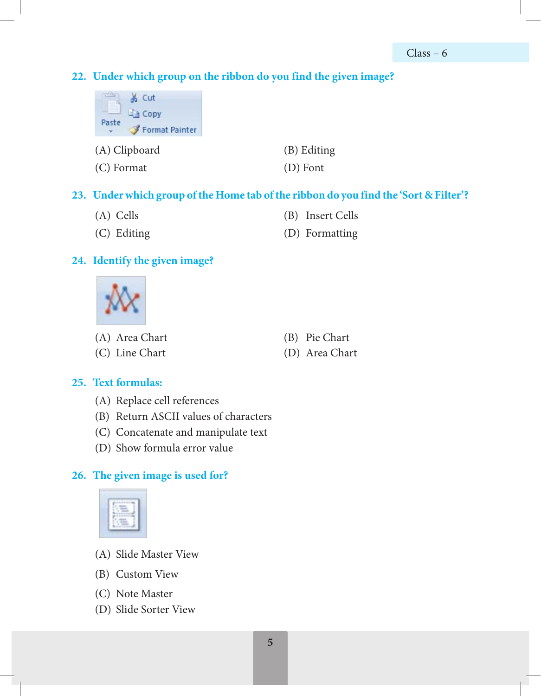#### **22. Under which group on the ribbon do you find the given image?**



### **23. Under which group of the Home tab of the ribbon do you find the 'Sort & Filter'?**

- (A) Cells (B) Insert Cells
- (C) Editing (D) Formatting

#### **24. Identify the given image?**



- (A) Area Chart (B) Pie Chart
- 
- 
- (C) Line Chart (D) Area Chart

#### **25. Text formulas:**

- (A) Replace cell references
- (B) Return ASCII values of characters
- (C) Concatenate and manipulate text
- (D) Show formula error value

#### **26. The given image is used for?**



- (A) Slide Master View
- (B) Custom View
- (C) Note Master
- (D) Slide Sorter View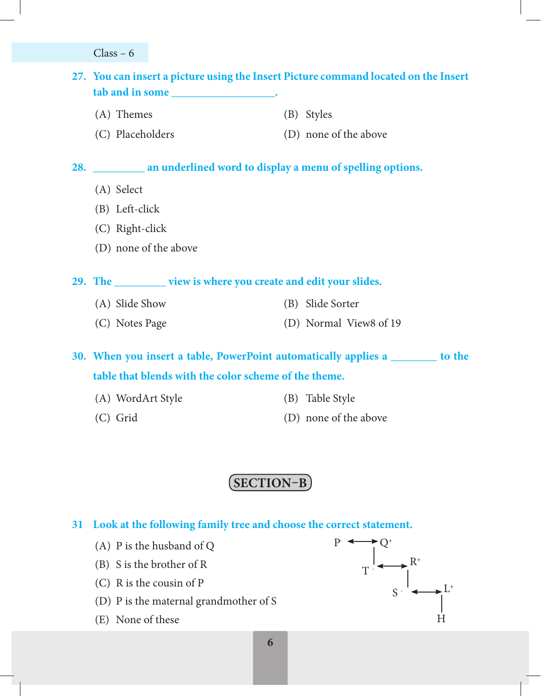Class – 6

# **27. You can insert a picture using the Insert Picture command located on the Insert tab and in some \_\_\_\_\_\_\_\_\_\_\_\_\_\_\_\_\_\_.**

- (A) Themes (B) Styles
- (C) Placeholders (D) none of the above

#### **28. \_\_\_\_\_\_\_\_\_ an underlined word to display a menu of spelling options.**

- (A) Select
- (B) Left-click
- (C) Right-click
- (D) none of the above

**29. The \_\_\_\_\_\_\_\_\_ view is where you create and edit your slides.**

- (A) Slide Show (B) Slide Sorter
- (C) Notes Page (D) Normal View8 of 19

**30. When you insert a table, PowerPoint automatically applies a \_\_\_\_\_\_\_\_ to the table that blends with the color scheme of the theme.**

- (A) WordArt Style (B) Table Style
- 
- 
- (C) Grid (D) none of the above

# **SECTION–B**

#### **31 Look at the following family tree and choose the correct statement.**

- (A) P is the husband of Q
- (B) S is the brother of R
- (C) R is the cousin of P
- (D) P is the maternal grandmother of S
- (E) None of these

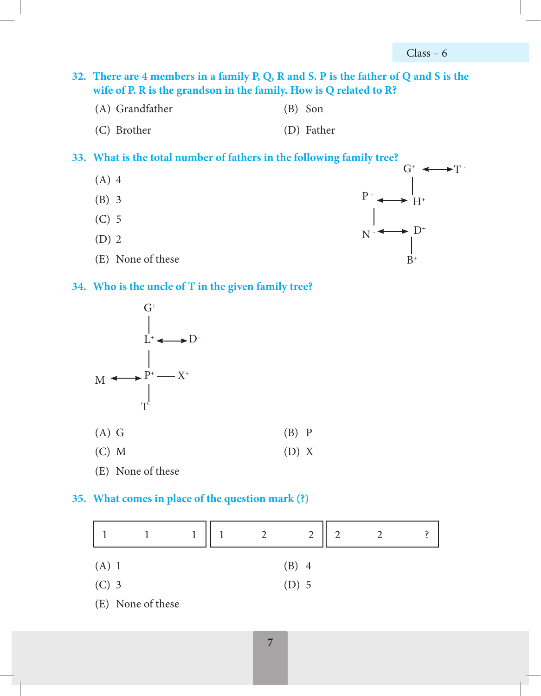$G^*$   $\longleftrightarrow$  T -

 $H^+$ 

 $D^+$ 

 $B^+$ 

 $P \nightharpoonup$ 

 $N_{\parallel}$ 

**32. There are 4 members in a family P, Q, R and S. P is the father of Q and S is the wife of P. R is the grandson in the family. How is Q related to R?**

- (A) Grandfather (B) Son
- (C) Brother (D) Father

#### **33. What is the total number of fathers in the following family tree?**

- (A) 4
- (B) 3
- (C) 5
- (D) 2
- (E) None of these

#### **34. Who is the uncle of T in the given family tree?**



#### **35. What comes in place of the question mark (?)**

|         |                   |  | $\overline{2}$ | $\bigcap$ |  |
|---------|-------------------|--|----------------|-----------|--|
| $(A)$ 1 |                   |  | $(B)$ 4        |           |  |
| $(C)$ 3 |                   |  | $(D)$ 5        |           |  |
|         | (E) None of these |  |                |           |  |

**6 7**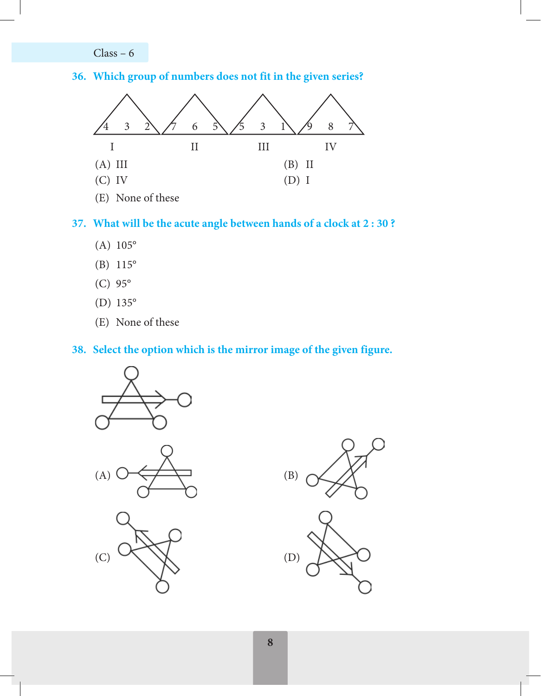Class – 6

#### **36. Which group of numbers does not fit in the given series?**



(E) None of these

#### **37. What will be the acute angle between hands of a clock at 2 : 30 ?**

- (A) 105°
- (B) 115°
- (C) 95°
- (D) 135°
- (E) None of these

#### **38. Select the option which is the mirror image of the given figure.**